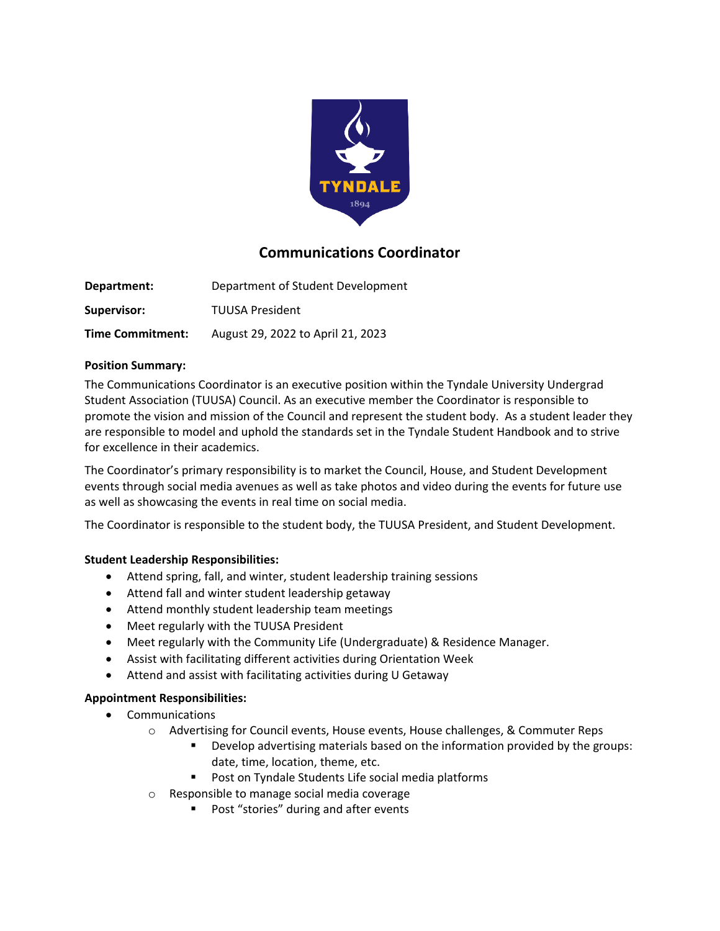

# **Communications Coordinator**

**Department:** Department of Student Development **Supervisor:** TUUSA President **Time Commitment:** August 29, 2022 to April 21, 2023

### **Position Summary:**

The Communications Coordinator is an executive position within the Tyndale University Undergrad Student Association (TUUSA) Council. As an executive member the Coordinator is responsible to promote the vision and mission of the Council and represent the student body. As a student leader they are responsible to model and uphold the standards set in the Tyndale Student Handbook and to strive for excellence in their academics.

The Coordinator's primary responsibility is to market the Council, House, and Student Development events through social media avenues as well as take photos and video during the events for future use as well as showcasing the events in real time on social media.

The Coordinator is responsible to the student body, the TUUSA President, and Student Development.

## **Student Leadership Responsibilities:**

- Attend spring, fall, and winter, student leadership training sessions
- Attend fall and winter student leadership getaway
- Attend monthly student leadership team meetings
- Meet regularly with the TUUSA President
- Meet regularly with the Community Life (Undergraduate) & Residence Manager.
- Assist with facilitating different activities during Orientation Week
- Attend and assist with facilitating activities during U Getaway

### **Appointment Responsibilities:**

- Communications
	- o Advertising for Council events, House events, House challenges, & Commuter Reps
		- Develop advertising materials based on the information provided by the groups: date, time, location, theme, etc.
		- Post on Tyndale Students Life social media platforms
	- o Responsible to manage social media coverage
		- Post "stories" during and after events